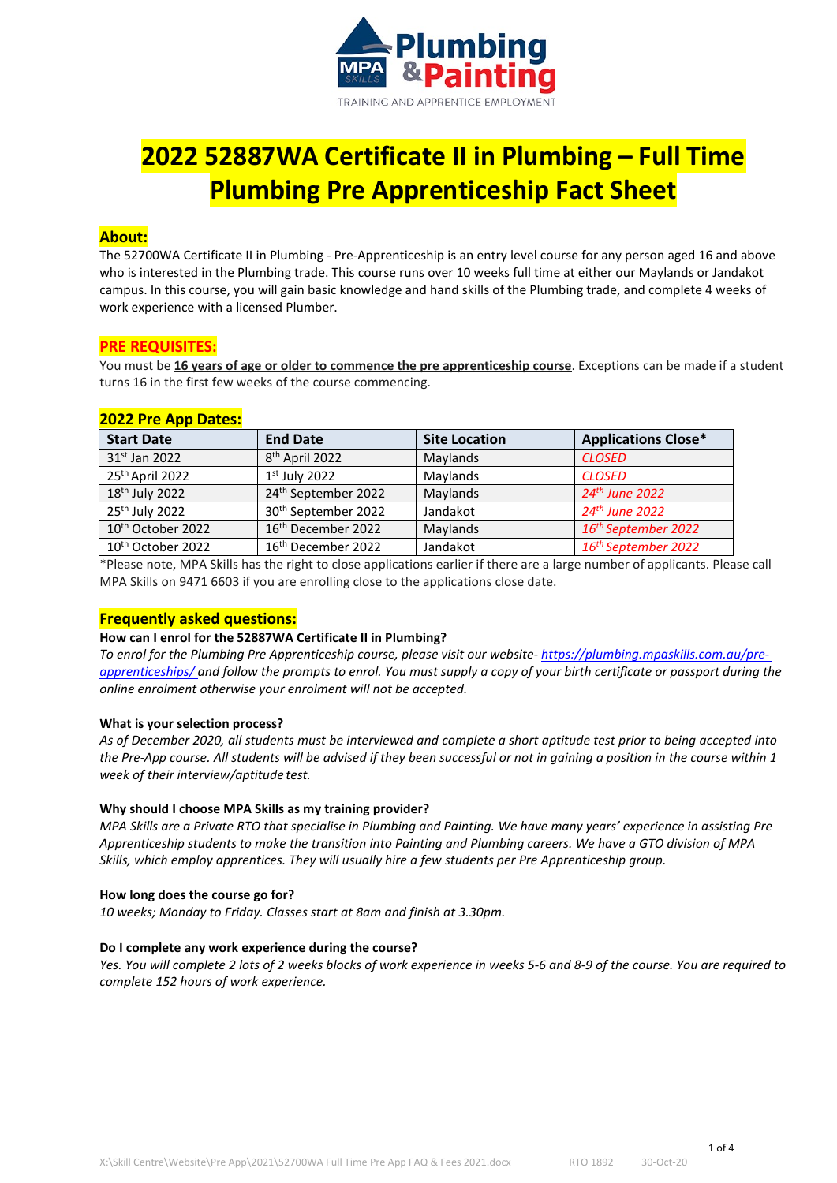

# **2022 52887WA Certificate II in Plumbing – Full Time Plumbing Pre Apprenticeship Fact Sheet**

# **About:**

The 52700WA Certificate II in Plumbing - Pre-Apprenticeship is an entry level course for any person aged 16 and above who is interested in the Plumbing trade. This course runs over 10 weeks full time at either our Maylands or Jandakot campus. In this course, you will gain basic knowledge and hand skills of the Plumbing trade, and complete 4 weeks of work experience with a licensed Plumber.

# **PRE REQUISITES:**

You must be **16 years of age or older to commence the pre apprenticeship course**. Exceptions can be made if a student turns 16 in the first few weeks of the course commencing.

# **2022 Pre App Dates:**

| <b>Start Date</b>             | <b>End Date</b>                 | <b>Site Location</b> | <b>Applications Close*</b>      |
|-------------------------------|---------------------------------|----------------------|---------------------------------|
| 31 <sup>st</sup> Jan 2022     | 8 <sup>th</sup> April 2022      | Maylands             | <b>CLOSED</b>                   |
| 25th April 2022               | $1st$ July 2022                 | Maylands             | <b>CLOSED</b>                   |
| 18 <sup>th</sup> July 2022    | 24th September 2022             | Maylands             | 24th June 2022                  |
| 25 <sup>th</sup> July 2022    | 30 <sup>th</sup> September 2022 | Jandakot             | 24 <sup>th</sup> June 2022      |
| 10 <sup>th</sup> October 2022 | 16 <sup>th</sup> December 2022  | Maylands             | 16 <sup>th</sup> September 2022 |
| 10 <sup>th</sup> October 2022 | 16 <sup>th</sup> December 2022  | Jandakot             | 16 <sup>th</sup> September 2022 |

\*Please note, MPA Skills has the right to close applications earlier if there are a large number of applicants. Please call MPA Skills on 9471 6603 if you are enrolling close to the applications close date.

# **Frequently asked questions:**

# **How can I enrol for the 52887WA Certificate II in Plumbing?**

*To enrol for the Plumbing Pre Apprenticeship course, please visit our website- [https://plumbing.mpaskills.com.au/pre](https://plumbing.mpaskills.com.au/pre-apprenticeships/)[apprenticeships/ a](https://plumbing.mpaskills.com.au/pre-apprenticeships/)nd follow the prompts to enrol. You must supply a copy of your birth certificate or passport during the online enrolment otherwise your enrolment will not be accepted.*

# **What is your selection process?**

*As of December 2020, all students must be interviewed and complete a short aptitude test prior to being accepted into*  the Pre-App course. All students will be advised if they been successful or not in gaining a position in the course within 1 *week of their interview/aptitude test.*

# **Why should I choose MPA Skills as my training provider?**

*MPA Skills are a Private RTO that specialise in Plumbing and Painting. We have many years' experience in assisting Pre Apprenticeship students to make the transition into Painting and Plumbing careers. We have a GTO division of MPA Skills, which employ apprentices. They will usually hire a few students per Pre Apprenticeship group.*

#### **How long does the course go for?**

*10 weeks; Monday to Friday. Classes start at 8am and finish at 3.30pm.*

#### **Do I complete any work experience during the course?**

*Yes. You will complete 2 lots of 2 weeks blocks of work experience in weeks 5-6 and 8-9 of the course. You are required to complete 152 hours of work experience.*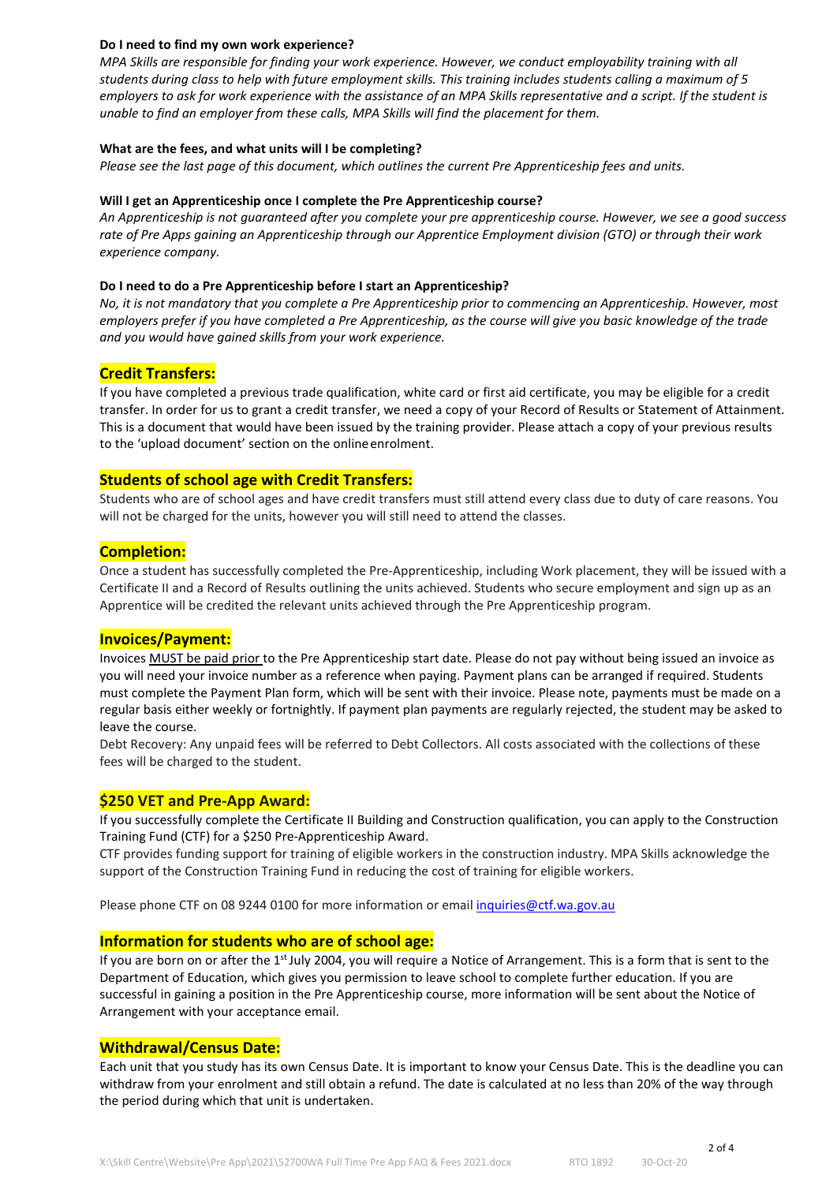# **Do I need to find my own work experience?**

*MPA Skills are responsible for finding your work experience. However, we conduct employability training with all students during class to help with future employment skills. This training includes students calling a maximum of 5 employers to ask for work experience with the assistance of an MPA Skills representative and a script. If the student is unable to find an employer from these calls, MPA Skills will find the placement for them.*

#### **What are the fees, and what units will I be completing?**

*Please see the last page of this document, which outlines the current Pre Apprenticeship fees and units.*

#### **Will I get an Apprenticeship once I complete the Pre Apprenticeship course?**

*An Apprenticeship is not guaranteed after you complete your pre apprenticeship course. However, we see a good success rate of Pre Apps gaining an Apprenticeship through our Apprentice Employment division (GTO) or through their work experience company.*

#### **Do I need to do a Pre Apprenticeship before I start an Apprenticeship?**

*No, it is not mandatory that you complete a Pre Apprenticeship prior to commencing an Apprenticeship. However, most employers prefer if you have completed a Pre Apprenticeship, as the course will give you basic knowledge of the trade and you would have gained skills from your work experience.*

# **Credit Transfers:**

If you have completed a previous trade qualification, white card or first aid certificate, you may be eligible for a credit transfer. In order for us to grant a credit transfer, we need a copy of your Record of Results or Statement of Attainment. This is a document that would have been issued by the training provider. Please attach a copy of your previous results to the 'upload document' section on the onlineenrolment.

# **Students of school age with Credit Transfers:**

Students who are of school ages and have credit transfers must still attend every class due to duty of care reasons. You will not be charged for the units, however you will still need to attend the classes.

# **Completion:**

Once a student has successfully completed the Pre-Apprenticeship, including Work placement, they will be issued with a Certificate II and a Record of Results outlining the units achieved. Students who secure employment and sign up as an Apprentice will be credited the relevant units achieved through the Pre Apprenticeship program.

# **Invoices/Payment:**

Invoices MUST be paid prior to the Pre Apprenticeship start date. Please do not pay without being issued an invoice as you will need your invoice number as a reference when paying. Payment plans can be arranged if required. Students must complete the Payment Plan form, which will be sent with their invoice. Please note, payments must be made on a regular basis either weekly or fortnightly. If payment plan payments are regularly rejected, the student may be asked to leave the course.

Debt Recovery: Any unpaid fees will be referred to Debt Collectors. All costs associated with the collections of these fees will be charged to the student.

# **\$250 VET and Pre-App Award:**

If you successfully complete the Certificate II Building and Construction qualification, you can apply to the Construction Training Fund (CTF) for a \$250 Pre-Apprenticeship Award.

CTF provides funding support for training of eligible workers in the construction industry. MPA Skills acknowledge the support of the Construction Training Fund in reducing the cost of training for eligible workers.

Please phone CTF on 08 9244 0100 for more information or email [inquiries@ctf.wa.gov.au](mailto:inquiries@ctf.wa.gov.au)

# **Information for students who are of school age:**

If you are born on or after the 1<sup>st</sup> July 2004, you will require a Notice of Arrangement. This is a form that is sent to the Department of Education, which gives you permission to leave school to complete further education. If you are successful in gaining a position in the Pre Apprenticeship course, more information will be sent about the Notice of Arrangement with your acceptance email.

# **Withdrawal/Census Date:**

Each unit that you study has its own Census Date. It is important to know your Census Date. This is the deadline you can withdraw from your enrolment and still obtain a refund. The date is calculated at no less than 20% of the way through the period during which that unit is undertaken.